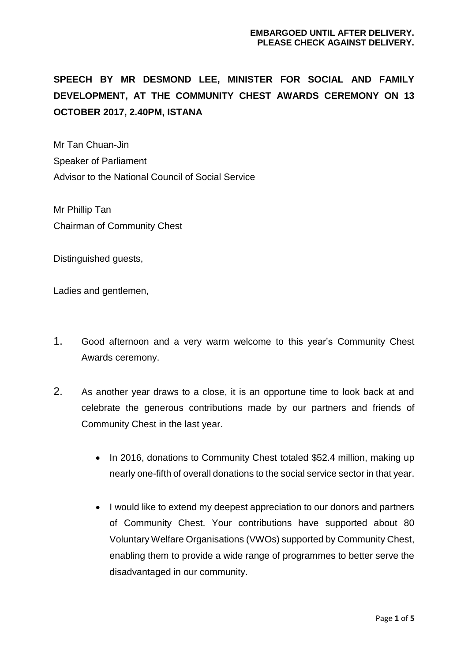# **SPEECH BY MR DESMOND LEE, MINISTER FOR SOCIAL AND FAMILY DEVELOPMENT, AT THE COMMUNITY CHEST AWARDS CEREMONY ON 13 OCTOBER 2017, 2.40PM, ISTANA**

Mr Tan Chuan-Jin Speaker of Parliament Advisor to the National Council of Social Service

Mr Phillip Tan Chairman of Community Chest

Distinguished guests,

Ladies and gentlemen.

- 1. Good afternoon and a very warm welcome to this year's Community Chest Awards ceremony.
- 2. As another year draws to a close, it is an opportune time to look back at and celebrate the generous contributions made by our partners and friends of Community Chest in the last year.
	- In 2016, donations to Community Chest totaled \$52.4 million, making up nearly one-fifth of overall donations to the social service sector in that year.
	- I would like to extend my deepest appreciation to our donors and partners of Community Chest. Your contributions have supported about 80 Voluntary Welfare Organisations (VWOs) supported by Community Chest, enabling them to provide a wide range of programmes to better serve the disadvantaged in our community.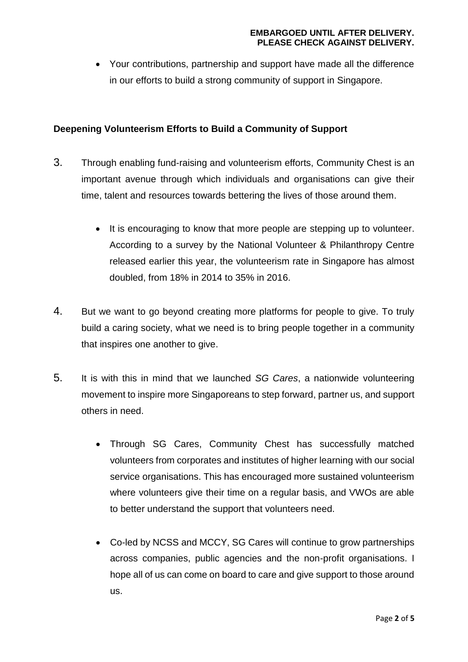### **EMBARGOED UNTIL AFTER DELIVERY. PLEASE CHECK AGAINST DELIVERY.**

 Your contributions, partnership and support have made all the difference in our efforts to build a strong community of support in Singapore.

## **Deepening Volunteerism Efforts to Build a Community of Support**

- 3. Through enabling fund-raising and volunteerism efforts, Community Chest is an important avenue through which individuals and organisations can give their time, talent and resources towards bettering the lives of those around them.
	- It is encouraging to know that more people are stepping up to volunteer. According to a survey by the National Volunteer & Philanthropy Centre released earlier this year, the volunteerism rate in Singapore has almost doubled, from 18% in 2014 to 35% in 2016.
- 4. But we want to go beyond creating more platforms for people to give. To truly build a caring society, what we need is to bring people together in a community that inspires one another to give.
- 5. It is with this in mind that we launched *SG Cares*, a nationwide volunteering movement to inspire more Singaporeans to step forward, partner us, and support others in need.
	- Through SG Cares, Community Chest has successfully matched volunteers from corporates and institutes of higher learning with our social service organisations. This has encouraged more sustained volunteerism where volunteers give their time on a regular basis, and VWOs are able to better understand the support that volunteers need.
	- Co-led by NCSS and MCCY, SG Cares will continue to grow partnerships across companies, public agencies and the non-profit organisations. I hope all of us can come on board to care and give support to those around us.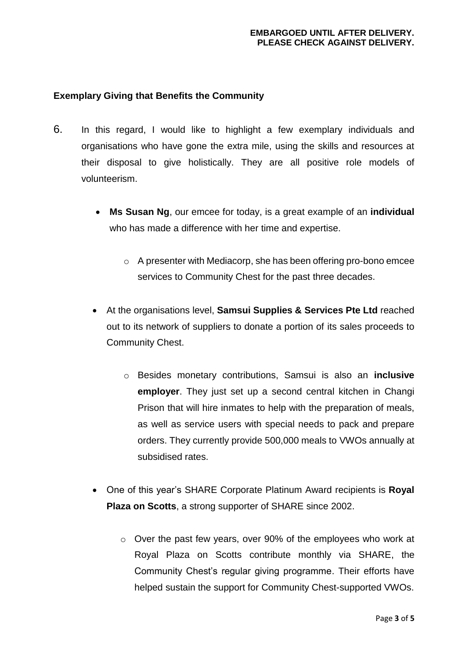# **Exemplary Giving that Benefits the Community**

- 6. In this regard, I would like to highlight a few exemplary individuals and organisations who have gone the extra mile, using the skills and resources at their disposal to give holistically. They are all positive role models of volunteerism.
	- **Ms Susan Ng**, our emcee for today, is a great example of an **individual** who has made a difference with her time and expertise.
		- o A presenter with Mediacorp, she has been offering pro-bono emcee services to Community Chest for the past three decades.
	- At the organisations level, **Samsui Supplies & Services Pte Ltd** reached out to its network of suppliers to donate a portion of its sales proceeds to Community Chest.
		- o Besides monetary contributions, Samsui is also an **inclusive employer**. They just set up a second central kitchen in Changi Prison that will hire inmates to help with the preparation of meals, as well as service users with special needs to pack and prepare orders. They currently provide 500,000 meals to VWOs annually at subsidised rates.
	- One of this year's SHARE Corporate Platinum Award recipients is **Royal Plaza on Scotts**, a strong supporter of SHARE since 2002.
		- o Over the past few years, over 90% of the employees who work at Royal Plaza on Scotts contribute monthly via SHARE, the Community Chest's regular giving programme. Their efforts have helped sustain the support for Community Chest-supported VWOs.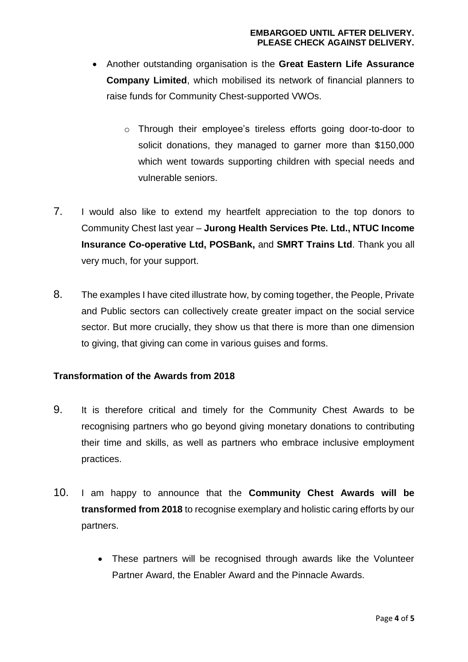- Another outstanding organisation is the **Great Eastern Life Assurance Company Limited**, which mobilised its network of financial planners to raise funds for Community Chest-supported VWOs.
	- o Through their employee's tireless efforts going door-to-door to solicit donations, they managed to garner more than \$150,000 which went towards supporting children with special needs and vulnerable seniors.
- 7. I would also like to extend my heartfelt appreciation to the top donors to Community Chest last year – **Jurong Health Services Pte. Ltd., NTUC Income Insurance Co-operative Ltd, POSBank,** and **SMRT Trains Ltd**. Thank you all very much, for your support.
- 8. The examples I have cited illustrate how, by coming together, the People, Private and Public sectors can collectively create greater impact on the social service sector. But more crucially, they show us that there is more than one dimension to giving, that giving can come in various guises and forms.

## **Transformation of the Awards from 2018**

- 9. It is therefore critical and timely for the Community Chest Awards to be recognising partners who go beyond giving monetary donations to contributing their time and skills, as well as partners who embrace inclusive employment practices.
- 10. I am happy to announce that the **Community Chest Awards will be transformed from 2018** to recognise exemplary and holistic caring efforts by our partners.
	- These partners will be recognised through awards like the Volunteer Partner Award, the Enabler Award and the Pinnacle Awards.